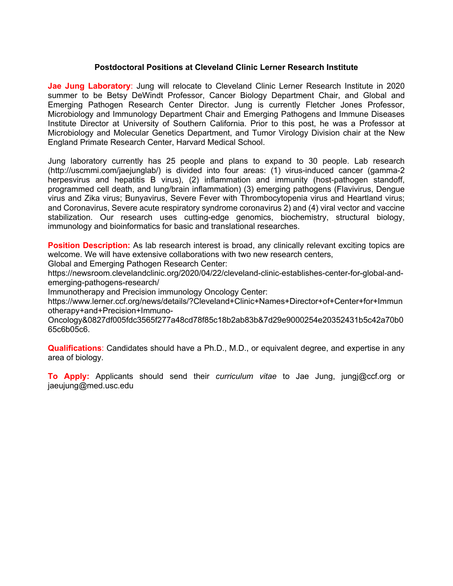#### **Postdoctoral Positions at Cleveland Clinic Lerner Research Institute**

**Jae Jung Laboratory**: Jung will relocate to Cleveland Clinic Lerner Research Institute in 2020 summer to be Betsy DeWindt Professor, Cancer Biology Department Chair, and Global and Emerging Pathogen Research Center Director. Jung is currently Fletcher Jones Professor, Microbiology and Immunology Department Chair and Emerging Pathogens and Immune Diseases Institute Director at University of Southern California. Prior to this post, he was a Professor at Microbiology and Molecular Genetics Department, and Tumor Virology Division chair at the New England Primate Research Center, Harvard Medical School.

Jung laboratory currently has 25 people and plans to expand to 30 people. Lab research (http://uscmmi.com/jaejunglab/) is divided into four areas: (1) virus-induced cancer (gamma-2 herpesvirus and hepatitis B virus), (2) inflammation and immunity (host-pathogen standoff, programmed cell death, and lung/brain inflammation) (3) emerging pathogens (Flavivirus, Dengue virus and Zika virus; Bunyavirus, Severe Fever with Thrombocytopenia virus and Heartland virus; and Coronavirus, Severe acute respiratory syndrome coronavirus 2) and (4) viral vector and vaccine stabilization. Our research uses cutting-edge genomics, biochemistry, structural biology, immunology and bioinformatics for basic and translational researches.

**Position Description:** As lab research interest is broad, any clinically relevant exciting topics are welcome. We will have extensive collaborations with two new research centers,

Global and Emerging Pathogen Research Center:

https://newsroom.clevelandclinic.org/2020/04/22/cleveland-clinic-establishes-center-for-global-andemerging-pathogens-research/

Immunotherapy and Precision immunology Oncology Center:

https://www.lerner.ccf.org/news/details/?Cleveland+Clinic+Names+Director+of+Center+for+Immun otherapy+and+Precision+Immuno-

Oncology&0827df005fdc3565f277a48cd78f85c18b2ab83b&7d29e9000254e20352431b5c42a70b0 65c6b05c6.

**Qualifications**: Candidates should have a Ph.D., M.D., or equivalent degree, and expertise in any area of biology.

**To Apply:** Applicants should send their *curriculum vitae* to Jae Jung, jungj@ccf.org or jaeujung@med.usc.edu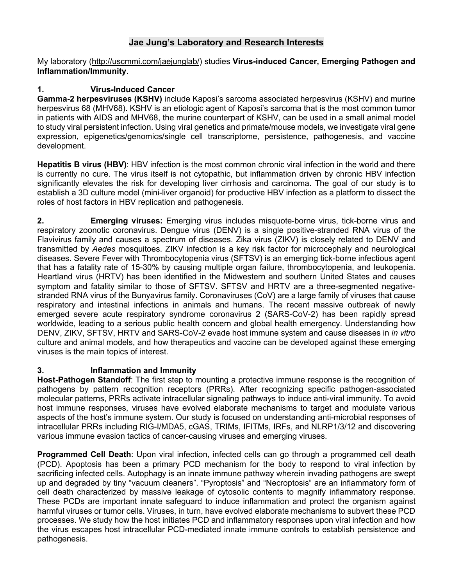# **Jae Jung's Laboratory and Research Interests**

My laboratory (http://uscmmi.com/jaejunglab/) studies **Virus-induced Cancer, Emerging Pathogen and Inflammation/Immunity**.

# **1. Virus-Induced Cancer**

**Gamma-2 herpesviruses (KSHV)** include Kaposi's sarcoma associated herpesvirus (KSHV) and murine herpesvirus 68 (MHV68). KSHV is an etiologic agent of Kaposi's sarcoma that is the most common tumor in patients with AIDS and MHV68, the murine counterpart of KSHV, can be used in a small animal model to study viral persistent infection. Using viral genetics and primate/mouse models, we investigate viral gene expression, epigenetics/genomics/single cell transcriptome, persistence, pathogenesis, and vaccine development.

**Hepatitis B virus (HBV)**: HBV infection is the most common chronic viral infection in the world and there is currently no cure. The virus itself is not cytopathic, but inflammation driven by chronic HBV infection significantly elevates the risk for developing liver cirrhosis and carcinoma. The goal of our study is to establish a 3D culture model (mini-liver organoid) for productive HBV infection as a platform to dissect the roles of host factors in HBV replication and pathogenesis.

**2. Emerging viruses:** Emerging virus includes misquote-borne virus, tick-borne virus and respiratory zoonotic coronavirus. Dengue virus (DENV) is a single positive-stranded RNA virus of the Flavivirus family and causes a spectrum of diseases. Zika virus (ZIKV) is closely related to DENV and transmitted by *Aedes* mosquitoes. ZIKV infection is a key risk factor for microcephaly and neurological diseases. Severe Fever with Thrombocytopenia virus (SFTSV) is an emerging tick-borne infectious agent that has a fatality rate of 15-30% by causing multiple organ failure, thrombocytopenia, and leukopenia. Heartland virus (HRTV) has been identified in the Midwestern and southern United States and causes symptom and fatality similar to those of SFTSV. SFTSV and HRTV are a three-segmented negativestranded RNA virus of the Bunyavirus family. Coronaviruses (CoV) are a large family of viruses that cause respiratory and intestinal infections in animals and humans. The recent massive outbreak of newly emerged severe acute respiratory syndrome coronavirus 2 (SARS-CoV-2) has been rapidly spread worldwide, leading to a serious public health concern and global health emergency. Understanding how DENV, ZIKV, SFTSV, HRTV and SARS-CoV-2 evade host immune system and cause diseases in *in vitro* culture and animal models, and how therapeutics and vaccine can be developed against these emerging viruses is the main topics of interest.

# **3. Inflammation and Immunity**

**Host-Pathogen Standoff**: The first step to mounting a protective immune response is the recognition of pathogens by pattern recognition receptors (PRRs). After recognizing specific pathogen-associated molecular patterns, PRRs activate intracellular signaling pathways to induce anti-viral immunity. To avoid host immune responses, viruses have evolved elaborate mechanisms to target and modulate various aspects of the host's immune system. Our study is focused on understanding anti-microbial responses of intracellular PRRs including RIG-I/MDA5, cGAS, TRIMs, IFITMs, IRFs, and NLRP1/3/12 and discovering various immune evasion tactics of cancer-causing viruses and emerging viruses.

**Programmed Cell Death**: Upon viral infection, infected cells can go through a programmed cell death (PCD). Apoptosis has been a primary PCD mechanism for the body to respond to viral infection by sacrificing infected cells. Autophagy is an innate immune pathway wherein invading pathogens are swept up and degraded by tiny "vacuum cleaners". "Pyroptosis" and "Necroptosis" are an inflammatory form of cell death characterized by massive leakage of cytosolic contents to magnify inflammatory response. These PCDs are important innate safeguard to induce inflammation and protect the organism against harmful viruses or tumor cells. Viruses, in turn, have evolved elaborate mechanisms to subvert these PCD processes. We study how the host initiates PCD and inflammatory responses upon viral infection and how the virus escapes host intracellular PCD-mediated innate immune controls to establish persistence and pathogenesis.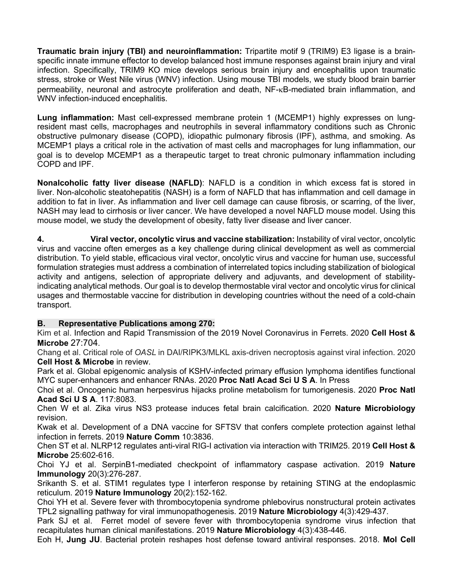**Traumatic brain injury (TBI) and neuroinflammation:** Tripartite motif 9 (TRIM9) E3 ligase is a brainspecific innate immune effector to develop balanced host immune responses against brain injury and viral infection. Specifically, TRIM9 KO mice develops serious brain injury and encephalitis upon traumatic stress, stroke or West Nile virus (WNV) infection. Using mouse TBI models, we study blood brain barrier permeability, neuronal and astrocyte proliferation and death, NF-kB-mediated brain inflammation, and WNV infection-induced encephalitis.

**Lung inflammation:** Mast cell-expressed membrane protein 1 (MCEMP1) highly expresses on lungresident mast cells, macrophages and neutrophils in several inflammatory conditions such as Chronic obstructive pulmonary disease (COPD), idiopathic pulmonary fibrosis (IPF), asthma, and smoking. As MCEMP1 plays a critical role in the activation of mast cells and macrophages for lung inflammation, our goal is to develop MCEMP1 as a therapeutic target to treat chronic pulmonary inflammation including COPD and IPF.

**Nonalcoholic fatty liver disease (NAFLD)**: NAFLD is a condition in which excess fat is stored in liver. Non-alcoholic steatohepatitis (NASH) is a form of NAFLD that has inflammation and cell damage in addition to fat in liver. As inflammation and liver cell damage can cause fibrosis, or scarring, of the liver, NASH may lead to cirrhosis or liver cancer. We have developed a novel NAFLD mouse model. Using this mouse model, we study the development of obesity, fatty liver disease and liver cancer.

**4. Viral vector, oncolytic virus and vaccine stabilization:** Instability of viral vector, oncolytic virus and vaccine often emerges as a key challenge during clinical development as well as commercial distribution. To yield stable, efficacious viral vector, oncolytic virus and vaccine for human use, successful formulation strategies must address a combination of interrelated topics including stabilization of biological activity and antigens, selection of appropriate delivery and adjuvants, and development of stabilityindicating analytical methods. Our goal is to develop thermostable viral vector and oncolytic virus for clinical usages and thermostable vaccine for distribution in developing countries without the need of a cold-chain transport.

# **B. Representative Publications among 270:**

Kim et al. Infection and Rapid Transmission of the 2019 Novel Coronavirus in Ferrets. 2020 **Cell Host & Microbe** 27:704.

Chang et al. Critical role of *OASL* in DAI/RIPK3/MLKL axis-driven necroptosis against viral infection. 2020 **Cell Host & Microbe** in review.

Park et al. Global epigenomic analysis of KSHV-infected primary effusion lymphoma identifies functional MYC super-enhancers and enhancer RNAs. 2020 **Proc Natl Acad Sci U S A**. In Press

Choi et al. Oncogenic human herpesvirus hijacks proline metabolism for tumorigenesis. 2020 **Proc Natl Acad Sci U S A**. 117:8083.

Chen W et al. Zika virus NS3 protease induces fetal brain calcification. 2020 **Nature Microbiology** revision.

Kwak et al. Development of a DNA vaccine for SFTSV that confers complete protection against lethal infection in ferrets. 2019 **Nature Comm** 10:3836.

Chen ST et al. NLRP12 regulates anti-viral RIG-I activation via interaction with TRIM25. 2019 **Cell Host & Microbe** 25:602-616.

Choi YJ et al. SerpinB1-mediated checkpoint of inflammatory caspase activation. 2019 **Nature Immunology** 20(3):276-287.

Srikanth S. et al. STIM1 regulates type I interferon response by retaining STING at the endoplasmic reticulum. 2019 **Nature Immunology** 20(2):152-162.

Choi YH et al. Severe fever with thrombocytopenia syndrome phlebovirus nonstructural protein activates TPL2 signalling pathway for viral immunopathogenesis. 2019 **Nature Microbiology** 4(3):429-437.

Park SJ et al. Ferret model of severe fever with thrombocytopenia syndrome virus infection that recapitulates human clinical manifestations. 2019 **Nature Microbiology** 4(3):438-446.

Eoh H, **Jung JU**. Bacterial protein reshapes host defense toward antiviral responses. 2018. **Mol Cell**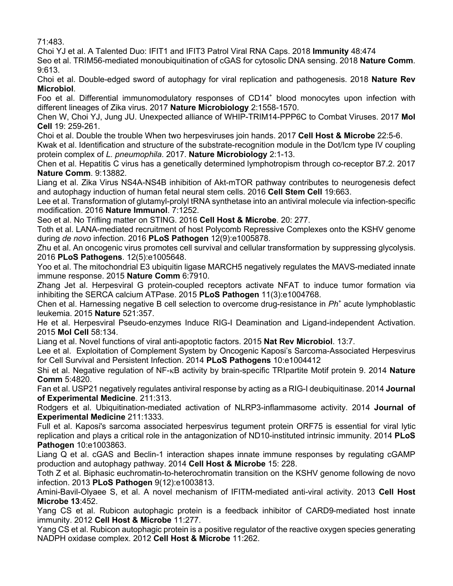71:483.

Choi YJ et al. A Talented Duo: IFIT1 and IFIT3 Patrol Viral RNA Caps. 2018 **Immunity** 48:474

Seo et al. TRIM56-mediated monoubiquitination of cGAS for cytosolic DNA sensing. 2018 **Nature Comm**. 9:613.

Choi et al. Double-edged sword of autophagy for viral replication and pathogenesis. 2018 **Nature Rev Microbiol**.

Foo et al. Differential immunomodulatory responses of CD14<sup>+</sup> blood monocytes upon infection with different lineages of Zika virus. 2017 **Nature Microbiology** 2:1558-1570.

Chen W, Choi YJ, Jung JU. Unexpected alliance of WHIP-TRIM14-PPP6C to Combat Viruses. 2017 **Mol Cell** 19: 259-261.

Choi et al. Double the trouble When two herpesviruses join hands. 2017 **Cell Host & Microbe** 22:5-6.

Kwak et al. Identification and structure of the substrate-recognition module in the Dot/Icm type IV coupling protein complex of *L. pneumophila*. 2017. **Nature Microbiology** 2:1-13.

Chen et al. Hepatitis C virus has a genetically determined lymphotropism through co-receptor B7.2. 2017 **Nature Comm**. 9:13882.

Liang et al. Zika Virus NS4A-NS4B inhibition of Akt-mTOR pathway contributes to neurogenesis defect and autophagy induction of human fetal neural stem cells. 2016 **Cell Stem Cell** 19:663.

Lee et al. Transformation of glutamyl-prolyl tRNA synthetase into an antiviral molecule via infection-specific modification. 2016 **Nature Immunol**. 7:1252.

Seo et al. No Trifling matter on STING. 2016 **Cell Host & Microbe**. 20: 277.

Toth et al. LANA-mediated recruitment of host Polycomb Repressive Complexes onto the KSHV genome during *de novo* infection. 2016 **PLoS Pathogen** 12(9):e1005878.

Zhu et al. An oncogenic virus promotes cell survival and cellular transformation by suppressing glycolysis. 2016 **PLoS Pathogens**. 12(5):e1005648.

Yoo et al. The mitochondrial E3 ubiquitin ligase MARCH5 negatively regulates the MAVS-mediated innate immune response. 2015 **Nature Comm** 6:7910.

Zhang Jet al. Herpesviral G protein-coupled receptors activate NFAT to induce tumor formation via inhibiting the SERCA calcium ATPase. 2015 **PLoS Pathogen** 11(3):e1004768.

Chen et al. Harnessing negative B cell selection to overcome drug-resistance in *Ph+* acute lymphoblastic leukemia. 2015 **Nature** 521:357.

He et al. Herpesviral Pseudo-enzymes Induce RIG-I Deamination and Ligand-independent Activation. 2015 **Mol Cell** 58:134.

Liang et al. Novel functions of viral anti-apoptotic factors. 2015 **Nat Rev Microbiol**. 13:7.

Lee et al. Exploitation of Complement System by Oncogenic Kaposi's Sarcoma-Associated Herpesvirus for Cell Survival and Persistent Infection. 2014 **PLoS Pathogens** 10:e1004412

Shi et al. Negative regulation of NF-kB activity by brain-specific TRIpartite Motif protein 9. 2014 **Nature Comm** 5:4820.

Fan et al. USP21 negatively regulates antiviral response by acting as a RIG-I deubiquitinase. 2014 **Journal of Experimental Medicine**. 211:313.

Rodgers et al. Ubiquitination-mediated activation of NLRP3-inflammasome activity. 2014 **Journal of Experimental Medicine** 211:1333.

Full et al. Kaposi's sarcoma associated herpesvirus tegument protein ORF75 is essential for viral lytic replication and plays a critical role in the antagonization of ND10-instituted intrinsic immunity. 2014 **PLoS Pathogen** 10:e1003863.

Liang Q et al. cGAS and Beclin-1 interaction shapes innate immune responses by regulating cGAMP production and autophagy pathway. 2014 **Cell Host & Microbe** 15: 228.

Toth Z et al. Biphasic euchromatin-to-heterochromatin transition on the KSHV genome following de novo infection. 2013 **PLoS Pathogen** 9(12):e1003813.

Amini-Bavil-Olyaee S, et al. A novel mechanism of IFITM-mediated anti-viral activity. 2013 **Cell Host Microbe 13**:452.

Yang CS et al. Rubicon autophagic protein is a feedback inhibitor of CARD9-mediated host innate immunity. 2012 **Cell Host & Microbe** 11:277.

Yang CS et al. Rubicon autophagic protein is a positive regulator of the reactive oxygen species generating NADPH oxidase complex. 2012 **Cell Host & Microbe** 11:262.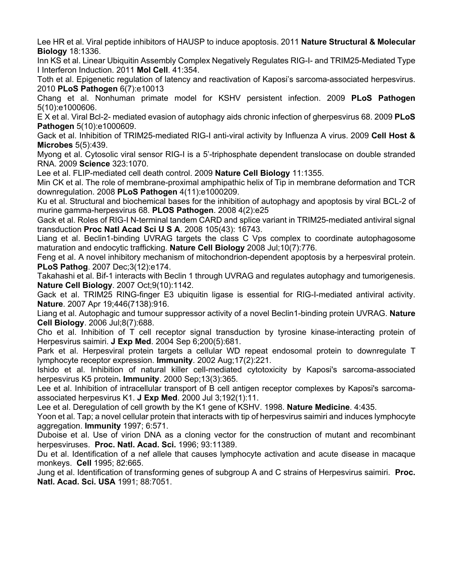Lee HR et al. Viral peptide inhibitors of HAUSP to induce apoptosis. 2011 **Nature Structural & Molecular Biology** 18:1336.

Inn KS et al. Linear Ubiquitin Assembly Complex Negatively Regulates RIG-I- and TRIM25-Mediated Type I Interferon Induction. 2011 **Mol Cell**. 41:354.

Toth et al. Epigenetic regulation of latency and reactivation of Kaposi's sarcoma-associated herpesvirus. 2010 **PLoS Pathogen** 6(7):e10013

Chang et al. Nonhuman primate model for KSHV persistent infection. 2009 **PLoS Pathogen** 5(10):e1000606.

E X et al. Viral Bcl-2- mediated evasion of autophagy aids chronic infection of gherpesvirus 68. 2009 **PLoS Pathogen** 5(10):e1000609.

Gack et al. Inhibition of TRIM25-mediated RIG-I anti-viral activity by Influenza A virus. 2009 **Cell Host & Microbes** 5(5):439.

Myong et al. Cytosolic viral sensor RIG-I is a 5'-triphosphate dependent translocase on double stranded RNA. 2009 **Science** 323:1070.

Lee et al. FLIP-mediated cell death control. 2009 **Nature Cell Biology** 11:1355.

Min CK et al. The role of membrane-proximal amphipathic helix of Tip in membrane deformation and TCR downregulation. 2008 **PLoS Pathogen** 4(11):e1000209.

Ku et al. Structural and biochemical bases for the inhibition of autophagy and apoptosis by viral BCL-2 of murine gamma-herpesvirus 68. **PLOS Pathogen**. 2008 4(2):e25

Gack et al. Roles of RIG-I N-terminal tandem CARD and splice variant in TRIM25-mediated antiviral signal transduction **Proc Natl Acad Sci U S A**. 2008 105(43): 16743.

Liang et al. Beclin1-binding UVRAG targets the class C Vps complex to coordinate autophagosome maturation and endocytic trafficking. **Nature Cell Biology** 2008 Jul;10(7):776.

Feng et al. A novel inhibitory mechanism of mitochondrion-dependent apoptosis by a herpesviral protein. **PLoS Pathog**. 2007 Dec;3(12):e174.

Takahashi et al. Bif-1 interacts with Beclin 1 through UVRAG and regulates autophagy and tumorigenesis. **Nature Cell Biology**. 2007 Oct;9(10):1142.

Gack et al. TRIM25 RING-finger E3 ubiquitin ligase is essential for RIG-I-mediated antiviral activity. **Nature**. 2007 Apr 19;446(7138):916.

Liang et al. Autophagic and tumour suppressor activity of a novel Beclin1-binding protein UVRAG. **Nature Cell Biology**. 2006 Jul;8(7):688.

Cho et al. Inhibition of T cell receptor signal transduction by tyrosine kinase-interacting protein of Herpesvirus saimiri. **J Exp Med**. 2004 Sep 6;200(5):681.

Park et al. Herpesviral protein targets a cellular WD repeat endosomal protein to downregulate T lymphocyte receptor expression. **Immunity**. 2002 Aug;17(2):221.

Ishido et al. Inhibition of natural killer cell-mediated cytotoxicity by Kaposi's sarcoma-associated herpesvirus K5 protein**. Immunity**. 2000 Sep;13(3):365.

Lee et al. Inhibition of intracellular transport of B cell antigen receptor complexes by Kaposi's sarcomaassociated herpesvirus K1. **J Exp Med**. 2000 Jul 3;192(1):11.

Lee et al. Deregulation of cell growth by the K1 gene of KSHV. 1998. **Nature Medicine**. 4:435.

Yoon et al. Tap; a novel cellular protein that interacts with tip of herpesvirus saimiri and induces lymphocyte aggregation. **Immunity** 1997; 6:571.

Duboise et al. Use of virion DNA as a cloning vector for the construction of mutant and recombinant herpesviruses. **Proc. Natl. Acad. Sci.** 1996; 93:11389.

Du et al. Identification of a nef allele that causes lymphocyte activation and acute disease in macaque monkeys. **Cell** 1995; 82:665.

Jung et al. Identification of transforming genes of subgroup A and C strains of Herpesvirus saimiri. **Proc. Natl. Acad. Sci. USA** 1991; 88:7051.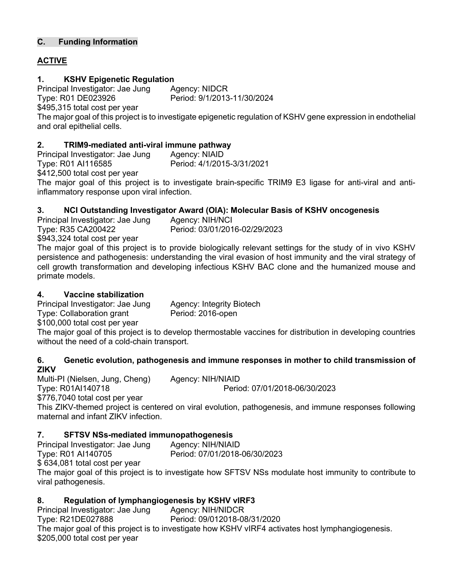# **C. Funding Information**

# **ACTIVE**

# **1. KSHV Epigenetic Regulation**

Principal Investigator: Jae Jung Agency: NIDCR Type: R01 DE023926 Period: 9/1/2013-11/30/2024

\$495,315 total cost per year

The major goal of this project is to investigate epigenetic regulation of KSHV gene expression in endothelial and oral epithelial cells.

# **2. TRIM9-mediated anti-viral immune pathway**

Principal Investigator: Jae Jung Agency: NIAID Type: R01 AI116585 Period: 4/1/2015-3/31/2021 \$412,500 total cost per year

The major goal of this project is to investigate brain-specific TRIM9 E3 ligase for anti-viral and antiinflammatory response upon viral infection.

# **3. NCI Outstanding Investigator Award (OIA): Molecular Basis of KSHV oncogenesis**

Principal Investigator: Jae Jung Type: R35 CA200422 Period: 03/01/2016-02/29/2023

\$943,324 total cost per year The major goal of this project is to provide biologically relevant settings for the study of in vivo KSHV persistence and pathogenesis: understanding the viral evasion of host immunity and the viral strategy of cell growth transformation and developing infectious KSHV BAC clone and the humanized mouse and primate models.

# **4. Vaccine stabilization**

Principal Investigator: Jae Jung Agency: Integrity Biotech Type: Collaboration grant Period: 2016-open

\$100,000 total cost per year

The major goal of this project is to develop thermostable vaccines for distribution in developing countries without the need of a cold-chain transport.

#### **6. Genetic evolution, pathogenesis and immune responses in mother to child transmission of ZIKV**

Multi-PI (Nielsen, Jung, Cheng) Agency: NIH/NIAID Type: R01AI140718 Period: 07/01/2018-06/30/2023

\$776,7040 total cost per year

This ZIKV-themed project is centered on viral evolution, pathogenesis, and immune responses following maternal and infant ZIKV infection.

# **7. SFTSV NSs-mediated immunopathogenesis**

Principal Investigator: Jae Jung Agency: NIH/NIAID Type: R01 AI140705 Period: 07/01/2018-06/30/2023 \$ 634,081 total cost per year The major goal of this project is to investigate how SFTSV NSs modulate host immunity to contribute to viral pathogenesis.

# **8. Regulation of lymphangiogenesis by KSHV vIRF3**

Principal Investigator: Jae Jung Agency: NIH/NIDCR Type: R21DE027888 Period: 09/012018-08/31/2020 The major goal of this project is to investigate how KSHV vIRF4 activates host lymphangiogenesis. \$205,000 total cost per year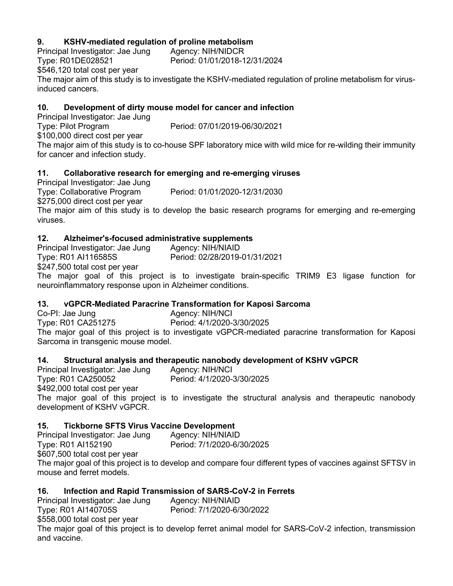# **9. KSHV-mediated regulation of proline metabolism**

Principal Investigator: Jae Jung Agency: NIH/NIDCR Type: R01DE028521 Period: 01/01/2018-12/31/2024 \$546,120 total cost per year The major aim of this study is to investigate the KSHV-mediated regulation of proline metabolism for virusinduced cancers.

### **10. Development of dirty mouse model for cancer and infection**

Principal Investigator: Jae Jung Type: Pilot Program Period: 07/01/2019-06/30/2021 \$100,000 direct cost per year The major aim of this study is to co-house SPF laboratory mice with wild mice for re-wilding their immunity

#### for cancer and infection study.

# **11. Collaborative research for emerging and re-emerging viruses**

Principal Investigator: Jae Jung

Type: Collaborative Program Period: 01/01/2020-12/31/2030

\$275,000 direct cost per year

The major aim of this study is to develop the basic research programs for emerging and re-emerging viruses.

#### **12. Alzheimer's-focused administrative supplements**

Principal Investigator: Jae Jung Agency: NIH/NIAID Type: R01 AI116585S Period: 02/28/2019-01/31/2021 \$247,500 total cost per year

The major goal of this project is to investigate brain-specific TRIM9 E3 ligase function for neuroinflammatory response upon in Alzheimer conditions.

# **13. vGPCR-Mediated Paracrine Transformation for Kaposi Sarcoma**

Co-PI: Jae Jung Agency: NIH/NCI Type: R01 CA251275 Period: 4/1/2020-3/30/2025 The major goal of this project is to investigate vGPCR-mediated paracrine transformation for Kaposi Sarcoma in transgenic mouse model.

#### **14. Structural analysis and therapeutic nanobody development of KSHV vGPCR**

Principal Investigator: Jae Jung Agency: NIH/NCI Type: R01 CA250052 Period: 4/1/2020-3/30/2025 \$492,000 total cost per year The major goal of this project is to investigate the structural analysis and therapeutic nanobody development of KSHV vGPCR.

#### **15. Tickborne SFTS Virus Vaccine Development**

Principal Investigator: Jae Jung Agency: NIH/NIAID Type: R01 AI152190 Period: 7/1/2020-6/30/2025 \$607,500 total cost per year

The major goal of this project is to develop and compare four different types of vaccines against SFTSV in mouse and ferret models.

# **16. Infection and Rapid Transmission of SARS-CoV-2 in Ferrets**

Principal Investigator: Jae Jung Agency: NIH/NIAID

Type: R01 AI140705S Period: 7/1/2020-6/30/2022

\$558,000 total cost per year

The major goal of this project is to develop ferret animal model for SARS-CoV-2 infection, transmission and vaccine.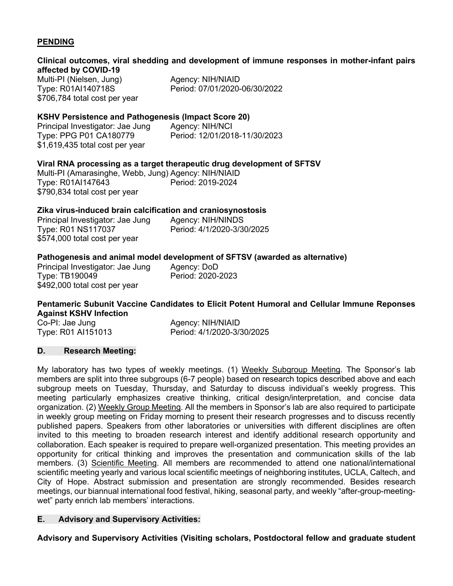# **PENDING**

# **Clinical outcomes, viral shedding and development of immune responses in mother-infant pairs affected by COVID-19** Multi-PI (Nielsen, Jung) Agency: NIH/NIAID Type: R01AI140718S Period: 07/01/2020-06/30/2022 \$706,784 total cost per year **KSHV Persistence and Pathogenesis (Impact Score 20)** Principal Investigator: Jae Jung Agency: NIH/NCI Type: PPG P01 CA180779 Period: 12/01/2018-11/30/2023 \$1,619,435 total cost per year **Viral RNA processing as a target therapeutic drug development of SFTSV** Multi-PI (Amarasinghe, Webb, Jung) Agency: NIH/NIAID Type: R01AI147643 Period: 2019-2024 \$790,834 total cost per year **Zika virus-induced brain calcification and craniosynostosis** Principal Investigator: Jae Jung Agency: NIH/NINDS Type: R01 NS117037 Period: 4/1/2020-3/30/2025 \$574,000 total cost per year **Pathogenesis and animal model development of SFTSV (awarded as alternative)** Principal Investigator: Jae Jung Agency: DoD Type: TB190049 Period: 2020-2023 \$492,000 total cost per year **Pentameric Subunit Vaccine Candidates to Elicit Potent Humoral and Cellular Immune Reponses Against KSHV Infection** Co-PI: Jae Jung Agency: NIH/NIAID Type: R01 AI151013 Period: 4/1/2020-3/30/2025

#### **D. Research Meeting:**

My laboratory has two types of weekly meetings. (1) Weekly Subgroup Meeting. The Sponsor's lab members are split into three subgroups (6-7 people) based on research topics described above and each subgroup meets on Tuesday, Thursday, and Saturday to discuss individual's weekly progress. This meeting particularly emphasizes creative thinking, critical design/interpretation, and concise data organization. (2) Weekly Group Meeting. All the members in Sponsor's lab are also required to participate in weekly group meeting on Friday morning to present their research progresses and to discuss recently published papers. Speakers from other laboratories or universities with different disciplines are often invited to this meeting to broaden research interest and identify additional research opportunity and collaboration. Each speaker is required to prepare well-organized presentation. This meeting provides an opportunity for critical thinking and improves the presentation and communication skills of the lab members. (3) Scientific Meeting. All members are recommended to attend one national/international scientific meeting yearly and various local scientific meetings of neighboring institutes, UCLA, Caltech, and City of Hope. Abstract submission and presentation are strongly recommended. Besides research meetings, our biannual international food festival, hiking, seasonal party, and weekly "after-group-meetingwet" party enrich lab members' interactions.

#### **E. Advisory and Supervisory Activities:**

**Advisory and Supervisory Activities (Visiting scholars, Postdoctoral fellow and graduate student**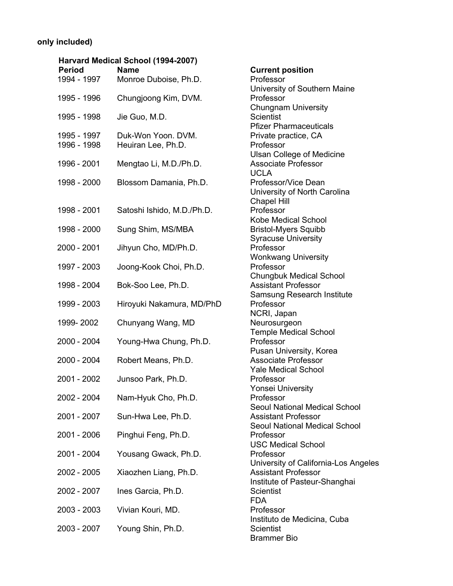# **only included)**

|               | Harvard Medical School (1994-2007) |                                                                    |
|---------------|------------------------------------|--------------------------------------------------------------------|
| <b>Period</b> | <b>Name</b>                        | <b>Current position</b>                                            |
| 1994 - 1997   | Monroe Duboise, Ph.D.              | Professor                                                          |
|               |                                    | University of Southern Maine                                       |
| 1995 - 1996   | Chungjoong Kim, DVM.               | Professor                                                          |
|               |                                    | <b>Chungnam University</b>                                         |
| 1995 - 1998   | Jie Guo, M.D.                      | <b>Scientist</b>                                                   |
|               |                                    | <b>Pfizer Pharmaceuticals</b>                                      |
| 1995 - 1997   | Duk-Won Yoon. DVM.                 | Private practice, CA                                               |
| 1996 - 1998   | Heuiran Lee, Ph.D.                 | Professor                                                          |
|               |                                    | <b>Ulsan College of Medicine</b>                                   |
| 1996 - 2001   | Mengtao Li, M.D./Ph.D.             | <b>Associate Professor</b>                                         |
|               |                                    | <b>UCLA</b>                                                        |
| 1998 - 2000   | Blossom Damania, Ph.D.             | Professor/Vice Dean                                                |
|               |                                    | University of North Carolina                                       |
|               |                                    | <b>Chapel Hill</b>                                                 |
| 1998 - 2001   | Satoshi Ishido, M.D./Ph.D.         | Professor                                                          |
|               |                                    | Kobe Medical School                                                |
| 1998 - 2000   | Sung Shim, MS/MBA                  | <b>Bristol-Myers Squibb</b>                                        |
|               |                                    | <b>Syracuse University</b>                                         |
| 2000 - 2001   | Jihyun Cho, MD/Ph.D.               | Professor                                                          |
|               |                                    | <b>Wonkwang University</b>                                         |
| 1997 - 2003   | Joong-Kook Choi, Ph.D.             | Professor                                                          |
|               |                                    | <b>Chungbuk Medical School</b>                                     |
| 1998 - 2004   | Bok-Soo Lee, Ph.D.                 | <b>Assistant Professor</b>                                         |
|               |                                    | <b>Samsung Research Institute</b>                                  |
| 1999 - 2003   | Hiroyuki Nakamura, MD/PhD          | Professor                                                          |
|               |                                    | NCRI, Japan                                                        |
| 1999-2002     | Chunyang Wang, MD                  | Neurosurgeon                                                       |
|               |                                    | <b>Temple Medical School</b>                                       |
| 2000 - 2004   | Young-Hwa Chung, Ph.D.             | Professor                                                          |
|               |                                    | Pusan University, Korea                                            |
| 2000 - 2004   | Robert Means, Ph.D.                | <b>Associate Professor</b>                                         |
|               |                                    | <b>Yale Medical School</b>                                         |
| 2001 - 2002   | Junsoo Park, Ph.D.                 | Professor                                                          |
|               |                                    | <b>Yonsei University</b>                                           |
| 2002 - 2004   | Nam-Hyuk Cho, Ph.D.                | Professor                                                          |
|               |                                    | Seoul National Medical School                                      |
| 2001 - 2007   | Sun-Hwa Lee, Ph.D.                 | <b>Assistant Professor</b>                                         |
|               |                                    | Seoul National Medical School                                      |
| $2001 - 2006$ | Pinghui Feng, Ph.D.                | Professor                                                          |
|               |                                    | <b>USC Medical School</b>                                          |
| 2001 - 2004   | Yousang Gwack, Ph.D.               | Professor                                                          |
|               |                                    | University of California-Los Angeles<br><b>Assistant Professor</b> |
| 2002 - 2005   | Xiaozhen Liang, Ph.D.              |                                                                    |
| 2002 - 2007   | Ines Garcia, Ph.D.                 | Institute of Pasteur-Shanghai<br><b>Scientist</b>                  |
|               |                                    | <b>FDA</b>                                                         |
| 2003 - 2003   | Vivian Kouri, MD.                  | Professor                                                          |
|               |                                    | Instituto de Medicina, Cuba                                        |
| 2003 - 2007   | Young Shin, Ph.D.                  | <b>Scientist</b>                                                   |
|               |                                    | <b>Brammer Bio</b>                                                 |
|               |                                    |                                                                    |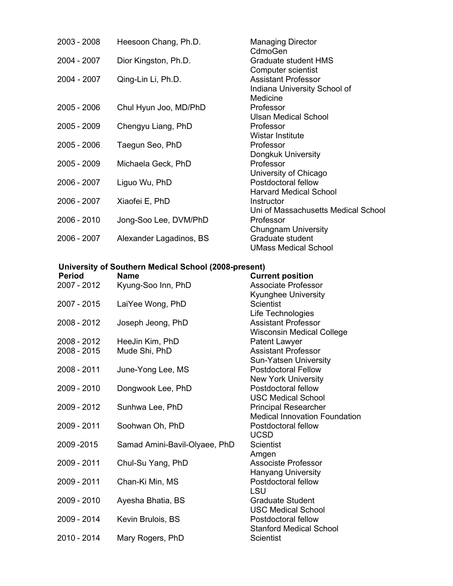| 2003 - 2008 | Heesoon Chang, Ph.D.    | <b>Managing Director</b><br>CdmoGen |
|-------------|-------------------------|-------------------------------------|
| 2004 - 2007 | Dior Kingston, Ph.D.    | <b>Graduate student HMS</b>         |
|             |                         | Computer scientist                  |
| 2004 - 2007 | Qing-Lin Li, Ph.D.      | <b>Assistant Professor</b>          |
|             |                         | Indiana University School of        |
|             |                         | Medicine                            |
| 2005 - 2006 | Chul Hyun Joo, MD/PhD   | Professor                           |
|             |                         | Ulsan Medical School                |
| 2005 - 2009 | Chengyu Liang, PhD      | Professor                           |
|             |                         | Wistar Institute                    |
| 2005 - 2006 | Taegun Seo, PhD         | Professor                           |
|             |                         | Dongkuk University                  |
| 2005 - 2009 | Michaela Geck, PhD      | Professor                           |
|             |                         | University of Chicago               |
| 2006 - 2007 | Liguo Wu, PhD           | Postdoctoral fellow                 |
|             |                         | <b>Harvard Medical School</b>       |
| 2006 - 2007 | Xiaofei E, PhD          | Instructor                          |
|             |                         | Uni of Massachusetts Medical School |
| 2006 - 2010 | Jong-Soo Lee, DVM/PhD   | Professor                           |
|             |                         | <b>Chungnam University</b>          |
| 2006 - 2007 | Alexander Lagadinos, BS | Graduate student                    |
|             |                         | <b>UMass Medical School</b>         |

# **University of Southern Medical School (2008-present)**

| <b>Period</b> | <b>Name</b>                   | <b>Current position</b>              |
|---------------|-------------------------------|--------------------------------------|
| 2007 - 2012   | Kyung-Soo Inn, PhD            | <b>Associate Professor</b>           |
|               |                               | Kyunghee University                  |
| 2007 - 2015   | LaiYee Wong, PhD              | Scientist                            |
|               |                               | Life Technologies                    |
| 2008 - 2012   | Joseph Jeong, PhD             | <b>Assistant Professor</b>           |
|               |                               | <b>Wisconsin Medical College</b>     |
| 2008 - 2012   | HeeJin Kim, PhD               | <b>Patent Lawyer</b>                 |
| 2008 - 2015   | Mude Shi, PhD                 | <b>Assistant Professor</b>           |
|               |                               | <b>Sun-Yatsen University</b>         |
| 2008 - 2011   | June-Yong Lee, MS             | <b>Postdoctoral Fellow</b>           |
|               |                               | <b>New York University</b>           |
| 2009 - 2010   | Dongwook Lee, PhD             | Postdoctoral fellow                  |
|               |                               | <b>USC Medical School</b>            |
| 2009 - 2012   | Sunhwa Lee, PhD               | <b>Principal Researcher</b>          |
|               |                               | <b>Medical Innovation Foundation</b> |
| 2009 - 2011   | Soohwan Oh, PhD               | Postdoctoral fellow                  |
|               |                               | <b>UCSD</b>                          |
| 2009-2015     | Samad Amini-Bavil-Olyaee, PhD | <b>Scientist</b>                     |
|               |                               | Amgen                                |
| 2009 - 2011   | Chul-Su Yang, PhD             | <b>Associste Professor</b>           |
|               |                               | <b>Hanyang University</b>            |
| 2009 - 2011   | Chan-Ki Min, MS               | Postdoctoral fellow                  |
|               |                               | LSU                                  |
| 2009 - 2010   | Ayesha Bhatia, BS             | <b>Graduate Student</b>              |
|               |                               | <b>USC Medical School</b>            |
| 2009 - 2014   | Kevin Brulois, BS             | Postdoctoral fellow                  |
|               |                               | <b>Stanford Medical School</b>       |
| 2010 - 2014   | Mary Rogers, PhD              | <b>Scientist</b>                     |
|               |                               |                                      |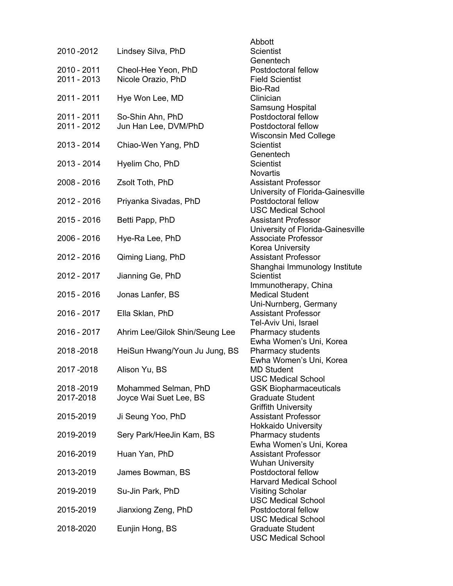|             |                                | Abbott                            |
|-------------|--------------------------------|-----------------------------------|
| 2010-2012   | Lindsey Silva, PhD             | <b>Scientist</b>                  |
|             |                                | Genentech                         |
| 2010 - 2011 | Cheol-Hee Yeon, PhD            | Postdoctoral fellow               |
| 2011 - 2013 | Nicole Orazio, PhD             | <b>Field Scientist</b>            |
|             |                                | Bio-Rad                           |
| 2011 - 2011 | Hye Won Lee, MD                | Clinician                         |
|             |                                | Samsung Hospital                  |
| 2011 - 2011 | So-Shin Ahn, PhD               | Postdoctoral fellow               |
| 2011 - 2012 | Jun Han Lee, DVM/PhD           | Postdoctoral fellow               |
|             |                                | <b>Wisconsin Med College</b>      |
| 2013 - 2014 | Chiao-Wen Yang, PhD            | <b>Scientist</b>                  |
|             |                                | Genentech                         |
| 2013 - 2014 | Hyelim Cho, PhD                | <b>Scientist</b>                  |
|             |                                | <b>Novartis</b>                   |
| 2008 - 2016 | Zsolt Toth, PhD                | <b>Assistant Professor</b>        |
|             |                                | University of Florida-Gainesville |
| 2012 - 2016 | Priyanka Sivadas, PhD          | Postdoctoral fellow               |
|             |                                | <b>USC Medical School</b>         |
| 2015 - 2016 | Betti Papp, PhD                | <b>Assistant Professor</b>        |
|             |                                | University of Florida-Gainesville |
| 2006 - 2016 | Hye-Ra Lee, PhD                | <b>Associate Professor</b>        |
|             |                                | Korea University                  |
| 2012 - 2016 | Qiming Liang, PhD              | <b>Assistant Professor</b>        |
|             |                                | Shanghai Immunology Institute     |
| 2012 - 2017 | Jianning Ge, PhD               | <b>Scientist</b>                  |
|             |                                | Immunotherapy, China              |
| 2015 - 2016 | Jonas Lanfer, BS               | <b>Medical Student</b>            |
|             |                                | Uni-Nurnberg, Germany             |
| 2016 - 2017 | Ella Sklan, PhD                | <b>Assistant Professor</b>        |
|             |                                | Tel-Aviv Uni, Israel              |
| 2016 - 2017 | Ahrim Lee/Gilok Shin/Seung Lee | Pharmacy students                 |
|             |                                | Ewha Women's Uni, Korea           |
| 2018-2018   | HeiSun Hwang/Youn Ju Jung, BS  | Pharmacy students                 |
|             |                                | Ewha Women's Uni, Korea           |
| 2017-2018   | Alison Yu, BS                  | <b>MD Student</b>                 |
|             |                                | <b>USC Medical School</b>         |
| 2018-2019   | Mohammed Selman, PhD           | <b>GSK Biopharmaceuticals</b>     |
| 2017-2018   | Joyce Wai Suet Lee, BS         | <b>Graduate Student</b>           |
|             |                                | <b>Griffith University</b>        |
| 2015-2019   | Ji Seung Yoo, PhD              | <b>Assistant Professor</b>        |
|             |                                | <b>Hokkaido University</b>        |
| 2019-2019   | Sery Park/HeeJin Kam, BS       | Pharmacy students                 |
|             |                                | Ewha Women's Uni, Korea           |
| 2016-2019   | Huan Yan, PhD                  | <b>Assistant Professor</b>        |
|             |                                | <b>Wuhan University</b>           |
| 2013-2019   | James Bowman, BS               | Postdoctoral fellow               |
|             |                                | <b>Harvard Medical School</b>     |
| 2019-2019   | Su-Jin Park, PhD               | <b>Visiting Scholar</b>           |
|             |                                | <b>USC Medical School</b>         |
| 2015-2019   | Jianxiong Zeng, PhD            | Postdoctoral fellow               |
|             |                                | <b>USC Medical School</b>         |
| 2018-2020   | Eunjin Hong, BS                | <b>Graduate Student</b>           |
|             |                                | <b>USC Medical School</b>         |